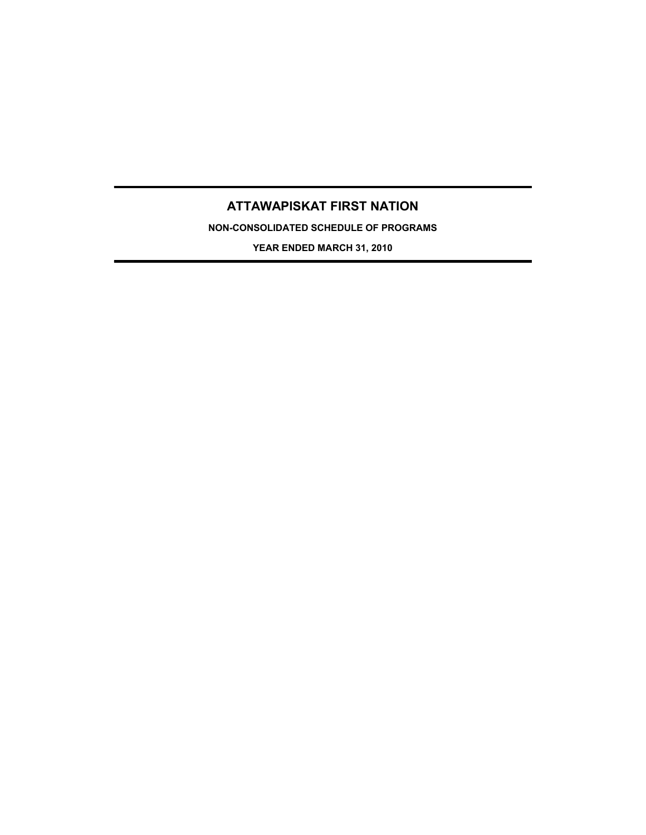# **ATTAWAPISKAT FIRST NATION**

**NON-CONSOLIDATED SCHEDULE OF PROGRAMS**

**YEAR ENDED MARCH 31, 2010**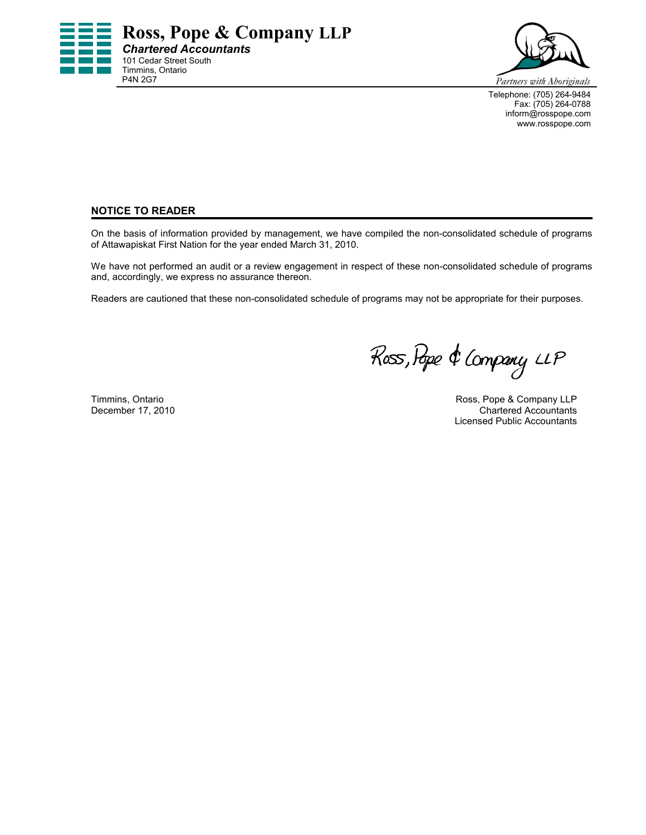



Telephone: (705) 264-9484 Fax: (705) 264-0788 inform@rosspope.com www.rosspope.com

## **NOTICE TO READER**

On the basis of information provided by management, we have compiled the non-consolidated schedule of programs of Attawapiskat First Nation for the year ended March 31, 2010.

We have not performed an audit or a review engagement in respect of these non-consolidated schedule of programs and, accordingly, we express no assurance thereon.

Readers are cautioned that these non-consolidated schedule of programs may not be appropriate for their purposes.

Ross, Pope & Company LLP

Timmins, Ontario **Ross, Pope & Company LLP** Ross, Pope & Company LLP December 17, 2010 **Chartered Accountants** Licensed Public Accountants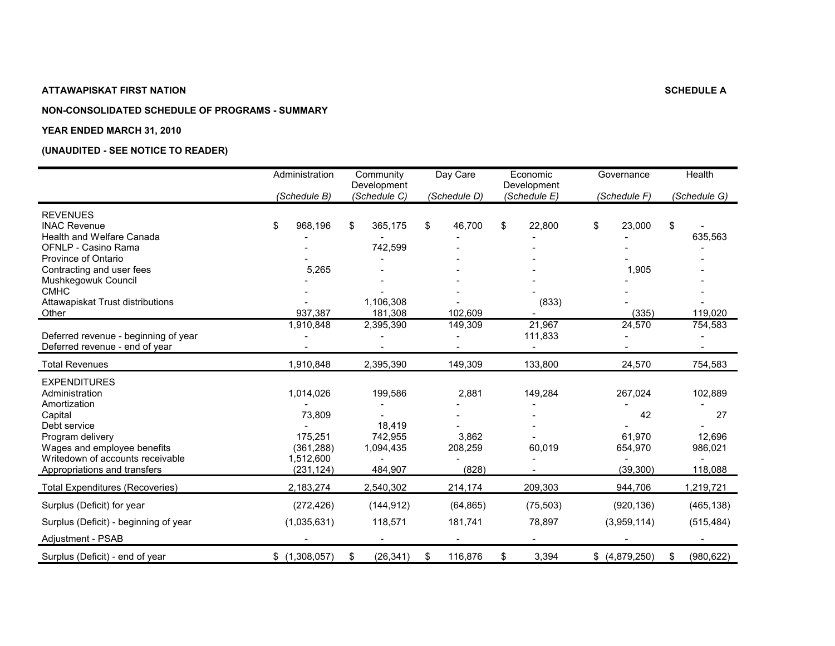#### **NON-CONSOLIDATED SCHEDULE OF PROGRAMS - SUMMARY**

#### **YEAR ENDED MARCH 31, 2010**

|                                        | Administration | Community<br>Development | Day Care      | Economic<br>Development | Governance        | Health           |
|----------------------------------------|----------------|--------------------------|---------------|-------------------------|-------------------|------------------|
|                                        | (Schedule B)   | (Schedule C)             | (Schedule D)  | (Schedule E)            | (Schedule F)      | (Schedule G)     |
| <b>REVENUES</b>                        |                |                          |               |                         |                   |                  |
| <b>INAC Revenue</b>                    | \$<br>968,196  | 365,175<br>\$            | \$<br>46,700  | \$<br>22,800            | \$<br>23,000      | \$               |
| Health and Welfare Canada              |                |                          |               |                         |                   | 635,563          |
| OFNLP - Casino Rama                    |                | 742,599                  |               |                         |                   |                  |
| Province of Ontario                    |                |                          |               |                         |                   |                  |
| Contracting and user fees              | 5,265          |                          |               |                         | 1,905             |                  |
| Mushkegowuk Council                    |                |                          |               |                         |                   |                  |
| <b>CMHC</b>                            |                |                          |               |                         |                   |                  |
| Attawapiskat Trust distributions       |                | 1,106,308                |               | (833)                   |                   |                  |
| Other                                  | 937,387        | 181,308                  | 102,609       |                         | (335)             | 119,020          |
|                                        | 1,910,848      | 2,395,390                | 149,309       | 21,967                  | 24,570            | 754,583          |
| Deferred revenue - beginning of year   |                |                          |               | 111,833                 |                   |                  |
| Deferred revenue - end of year         |                |                          |               |                         |                   |                  |
| <b>Total Revenues</b>                  | 1,910,848      | 2,395,390                | 149,309       | 133,800                 | 24,570            | 754,583          |
| <b>EXPENDITURES</b>                    |                |                          |               |                         |                   |                  |
| Administration                         | 1,014,026      | 199,586                  | 2,881         | 149,284                 | 267,024           | 102,889          |
| Amortization                           |                |                          |               |                         |                   |                  |
| Capital                                | 73,809         |                          |               |                         | 42                | 27               |
| Debt service                           |                | 18,419                   |               |                         |                   |                  |
| Program delivery                       | 175,251        | 742,955                  | 3,862         |                         | 61,970            | 12,696           |
| Wages and employee benefits            | (361, 288)     | 1,094,435                | 208,259       | 60,019                  | 654,970           | 986,021          |
| Writedown of accounts receivable       | 1,512,600      |                          |               |                         |                   |                  |
| Appropriations and transfers           | (231, 124)     | 484,907                  | (828)         |                         | (39, 300)         | 118,088          |
| <b>Total Expenditures (Recoveries)</b> | 2,183,274      | 2,540,302                | 214,174       | 209,303                 | 944,706           | 1,219,721        |
| Surplus (Deficit) for year             | (272, 426)     | (144, 912)               | (64, 865)     | (75, 503)               | (920, 136)        | (465, 138)       |
| Surplus (Deficit) - beginning of year  | (1,035,631)    | 118,571                  | 181,741       | 78,897                  | (3,959,114)       | (515, 484)       |
| Adjustment - PSAB                      |                |                          |               |                         |                   |                  |
| Surplus (Deficit) - end of year        | \$(1,308,057)  | (26, 341)<br>\$          | 116,876<br>\$ | \$<br>3,394             | $$$ $(4,879,250)$ | \$<br>(980, 622) |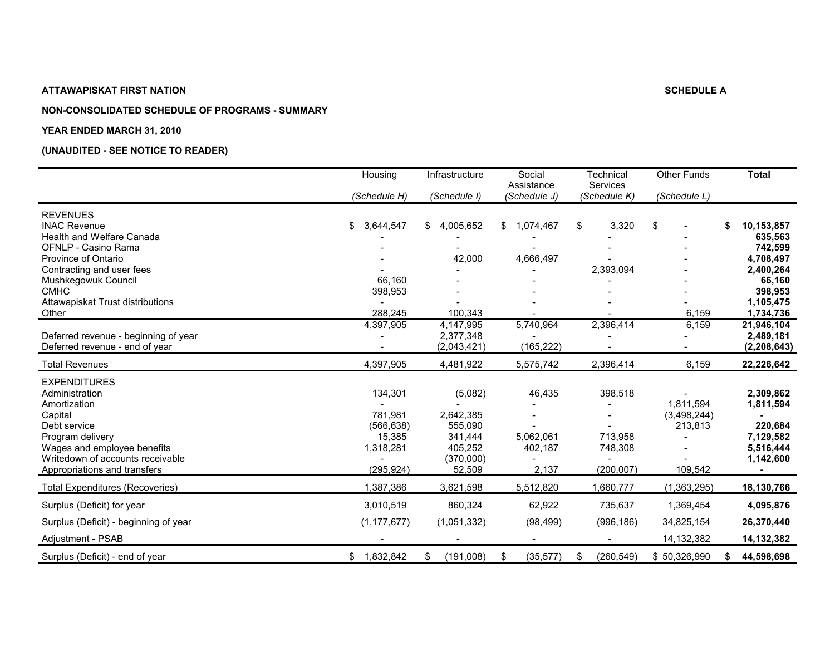## **NON-CONSOLIDATED SCHEDULE OF PROGRAMS - SUMMARY**

#### **YEAR ENDED MARCH 31, 2010**

|                                        | Housing         | Infrastructure  | Social<br>Assistance | Technical<br>Services | <b>Other Funds</b> | <b>Total</b>     |
|----------------------------------------|-----------------|-----------------|----------------------|-----------------------|--------------------|------------------|
|                                        | (Schedule H)    | (Schedule I)    | (Schedule J)         | (Schedule K)          | (Schedule L)       |                  |
| <b>REVENUES</b>                        |                 |                 |                      |                       |                    |                  |
| <b>INAC Revenue</b>                    | 3,644,547<br>S. | 4,005,652<br>\$ | \$<br>1,074,467      | 3,320<br>\$           | \$                 | \$<br>10,153,857 |
| Health and Welfare Canada              |                 |                 |                      |                       |                    | 635,563          |
| OFNLP - Casino Rama                    |                 |                 |                      |                       |                    | 742,599          |
| Province of Ontario                    |                 | 42,000          | 4,666,497            |                       |                    | 4,708,497        |
| Contracting and user fees              |                 |                 |                      | 2,393,094             |                    | 2,400,264        |
| Mushkegowuk Council                    | 66,160          |                 |                      |                       |                    | 66,160           |
| <b>CMHC</b>                            | 398,953         |                 |                      |                       |                    | 398,953          |
| Attawapiskat Trust distributions       |                 |                 |                      |                       |                    | 1,105,475        |
| Other                                  | 288,245         | 100,343         |                      |                       | 6,159              | 1,734,736        |
|                                        | 4,397,905       | 4,147,995       | 5,740,964            | 2,396,414             | 6,159              | 21,946,104       |
| Deferred revenue - beginning of year   |                 | 2,377,348       |                      |                       |                    | 2,489,181        |
| Deferred revenue - end of year         |                 | (2,043,421)     | (165, 222)           |                       |                    | (2, 208, 643)    |
| <b>Total Revenues</b>                  | 4,397,905       | 4,481,922       | 5,575,742            | 2,396,414             | 6,159              | 22,226,642       |
| <b>EXPENDITURES</b>                    |                 |                 |                      |                       |                    |                  |
| Administration                         | 134,301         | (5,082)         | 46,435               | 398,518               |                    | 2,309,862        |
| Amortization                           |                 |                 |                      |                       | 1,811,594          | 1,811,594        |
| Capital                                | 781,981         | 2,642,385       |                      |                       | (3,498,244)        |                  |
| Debt service                           | (566, 638)      | 555,090         |                      |                       | 213,813            | 220,684          |
| Program delivery                       | 15,385          | 341,444         | 5,062,061            | 713,958               |                    | 7,129,582        |
| Wages and employee benefits            | 1,318,281       | 405,252         | 402,187              | 748,308               |                    | 5,516,444        |
| Writedown of accounts receivable       |                 | (370,000)       |                      |                       |                    | 1,142,600        |
| Appropriations and transfers           | (295, 924)      | 52,509          | 2,137                | (200, 007)            | 109,542            | -                |
| <b>Total Expenditures (Recoveries)</b> | 1,387,386       | 3,621,598       | 5,512,820            | 1,660,777             | (1,363,295)        | 18,130,766       |
| Surplus (Deficit) for year             | 3,010,519       | 860,324         | 62,922               | 735,637               | 1,369,454          | 4,095,876        |
| Surplus (Deficit) - beginning of year  | (1, 177, 677)   | (1,051,332)     | (98, 499)            | (996, 186)            | 34,825,154         | 26,370,440       |
| Adjustment - PSAB                      |                 |                 |                      |                       | 14, 132, 382       | 14, 132, 382     |
| Surplus (Deficit) - end of year        | \$1,832,842     | (191,008)<br>\$ | (35, 577)<br>\$      | (260, 549)<br>S       | \$50,326,990       | 44,598,698<br>S  |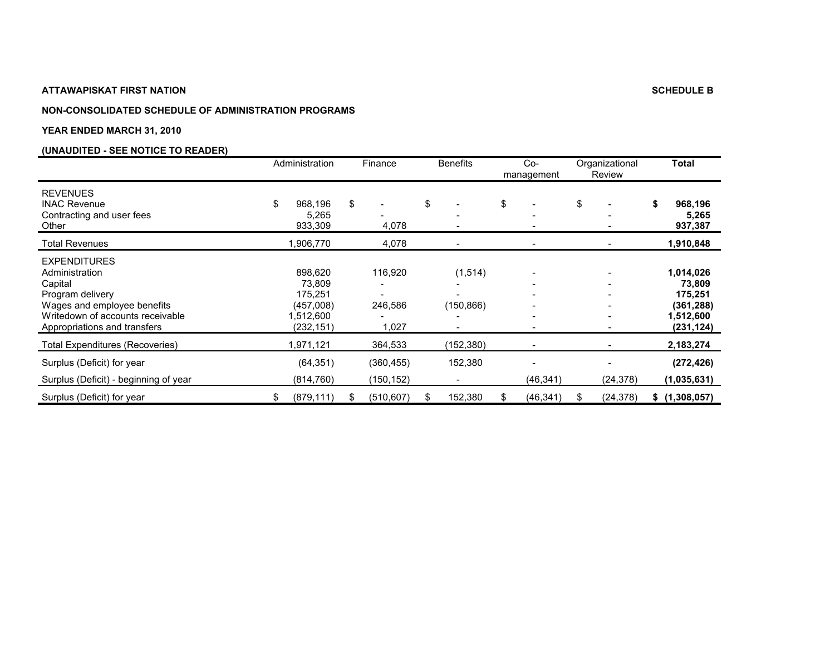#### **NON-CONSOLIDATED SCHEDULE OF ADMINISTRATION PROGRAMS**

#### **YEAR ENDED MARCH 31, 2010**

|                                                                                                                                                                         | Administration                                                       |    | Finance                     | <b>Benefits</b>      |    | $Co-$<br>management |    | Organizational<br>Review | <b>Total</b>                                                           |
|-------------------------------------------------------------------------------------------------------------------------------------------------------------------------|----------------------------------------------------------------------|----|-----------------------------|----------------------|----|---------------------|----|--------------------------|------------------------------------------------------------------------|
| <b>REVENUES</b><br><b>INAC Revenue</b><br>Contracting and user fees<br>Other                                                                                            | \$<br>968,196<br>5,265<br>933,309                                    | \$ | 4,078                       | \$                   | \$ |                     | \$ |                          | 968,196<br>5,265<br>937,387                                            |
| Total Revenues                                                                                                                                                          | 1,906,770                                                            |    | 4,078                       |                      |    |                     |    |                          | 1,910,848                                                              |
| <b>EXPENDITURES</b><br>Administration<br>Capital<br>Program delivery<br>Wages and employee benefits<br>Writedown of accounts receivable<br>Appropriations and transfers | 898,620<br>73,809<br>175,251<br>(457,008)<br>1,512,600<br>(232, 151) |    | 116,920<br>246,586<br>1,027 | (1,514)<br>(150,866) |    |                     |    |                          | 1,014,026<br>73,809<br>175,251<br>(361,288)<br>1,512,600<br>(231, 124) |
| Total Expenditures (Recoveries)                                                                                                                                         | 1,971,121                                                            |    | 364,533                     | (152,380)            |    |                     |    |                          | 2,183,274                                                              |
| Surplus (Deficit) for year<br>Surplus (Deficit) - beginning of year                                                                                                     | (64, 351)<br>(814, 760)                                              |    | (360, 455)<br>(150, 152)    | 152,380              |    | (46, 341)           |    | (24, 378)                | (272, 426)<br>(1,035,631)                                              |
| Surplus (Deficit) for year                                                                                                                                              | (879, 111)                                                           | S. | (510, 607)                  | \$<br>152,380        | S. | (46, 341)           | S  | (24, 378)                | \$ (1,308,057)                                                         |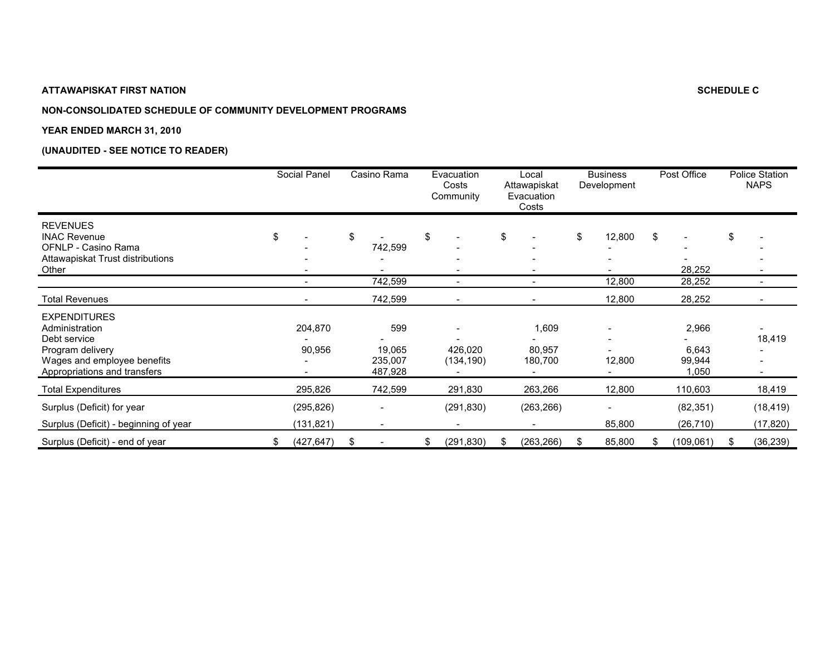## **NON-CONSOLIDATED SCHEDULE OF COMMUNITY DEVELOPMENT PROGRAMS**

#### **YEAR ENDED MARCH 31, 2010**

|                                                                                                                                          | Social Panel             | Casino Rama                         | Evacuation<br>Costs<br>Community | Local<br>Attawapiskat<br>Evacuation<br>Costs |    | <b>Business</b><br>Development |    | Post Office                        |    | <b>Police Station</b><br><b>NAPS</b> |
|------------------------------------------------------------------------------------------------------------------------------------------|--------------------------|-------------------------------------|----------------------------------|----------------------------------------------|----|--------------------------------|----|------------------------------------|----|--------------------------------------|
| <b>REVENUES</b><br><b>INAC Revenue</b><br>OFNLP - Casino Rama<br>Attawapiskat Trust distributions<br>Other                               | \$                       | \$<br>742,599                       | \$                               | \$                                           | \$ | 12,800                         | \$ | $\overline{\phantom{a}}$<br>28,252 | \$ |                                      |
|                                                                                                                                          |                          | 742,599                             |                                  |                                              |    | 12,800                         |    | 28,252                             |    |                                      |
| <b>Total Revenues</b>                                                                                                                    |                          | 742,599                             |                                  |                                              |    | 12,800                         |    | 28,252                             |    |                                      |
| <b>EXPENDITURES</b><br>Administration<br>Debt service<br>Program delivery<br>Wages and employee benefits<br>Appropriations and transfers | 204,870<br>90,956        | 599<br>19,065<br>235,007<br>487,928 | 426.020<br>(134, 190)            | 1,609<br>80,957<br>180,700                   |    | 12,800                         |    | 2,966<br>6,643<br>99,944<br>1,050  |    | 18,419                               |
| <b>Total Expenditures</b>                                                                                                                | 295,826                  | 742,599                             | 291,830                          | 263,266                                      |    | 12,800                         |    | 110,603                            |    | 18,419                               |
| Surplus (Deficit) for year<br>Surplus (Deficit) - beginning of year                                                                      | (295, 826)<br>(131, 821) |                                     | (291, 830)                       | (263, 266)                                   |    | 85,800                         |    | (82, 351)<br>(26, 710)             |    | (18, 419)<br>(17, 820)               |
| Surplus (Deficit) - end of year                                                                                                          | \$<br>(427, 647)         | \$<br>$\overline{\phantom{a}}$      | \$<br>(291, 830)                 | \$<br>(263, 266)                             | S  | 85,800                         | S  | (109,061)                          | S. | (36, 239)                            |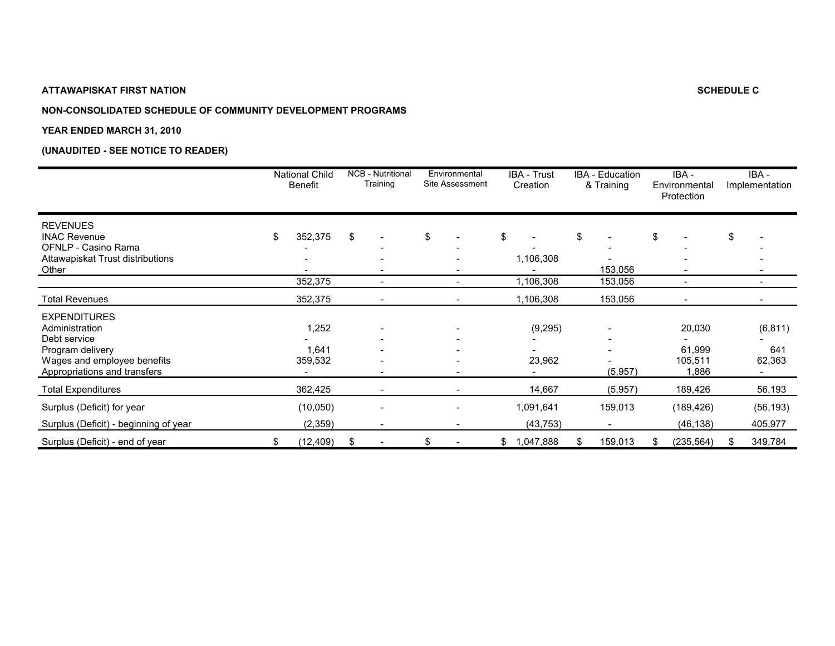## **NON-CONSOLIDATED SCHEDULE OF COMMUNITY DEVELOPMENT PROGRAMS**

#### **YEAR ENDED MARCH 31, 2010**

|                                                                                                                                          | <b>National Child</b><br>Benefit | <b>NCB - Nutritional</b><br>Training | Environmental<br>Site Assessment |               | <b>IBA - Trust</b><br>Creation |    | <b>IBA</b> - Education<br>& Training |    | IBA -<br>Environmental<br>Protection |    | IBA -<br>Implementation   |
|------------------------------------------------------------------------------------------------------------------------------------------|----------------------------------|--------------------------------------|----------------------------------|---------------|--------------------------------|----|--------------------------------------|----|--------------------------------------|----|---------------------------|
| <b>REVENUES</b><br><b>INAC Revenue</b><br>OFNLP - Casino Rama<br>Attawapiskat Trust distributions<br>Other                               | \$<br>352,375                    | \$                                   | \$                               | \$            | 1,106,308                      | \$ | 153,056                              | \$ |                                      | \$ |                           |
|                                                                                                                                          | 352,375                          | $\overline{\phantom{0}}$             | ٠                                |               | 1,106,308                      |    | 153,056                              |    | $\overline{\phantom{a}}$             |    |                           |
| Total Revenues                                                                                                                           | 352,375                          | $\overline{\phantom{a}}$             | $\qquad \qquad \blacksquare$     |               | 1,106,308                      |    | 153,056                              |    |                                      |    |                           |
| <b>EXPENDITURES</b><br>Administration<br>Debt service<br>Program delivery<br>Wages and employee benefits<br>Appropriations and transfers | 1,252<br>1,641<br>359,532        |                                      |                                  |               | (9,295)<br>23,962              |    | (5,957)                              |    | 20,030<br>61,999<br>105,511<br>1,886 |    | (6, 811)<br>641<br>62,363 |
| <b>Total Expenditures</b>                                                                                                                | 362,425                          |                                      | $\overline{\phantom{0}}$         |               | 14,667                         |    | (5,957)                              |    | 189,426                              |    | 56,193                    |
| Surplus (Deficit) for year<br>Surplus (Deficit) - beginning of year                                                                      | (10, 050)<br>(2,359)             |                                      |                                  |               | 1,091,641<br>(43, 753)         |    | 159,013                              |    | (189, 426)<br>(46, 138)              |    | (56, 193)<br>405,977      |
| Surplus (Deficit) - end of year                                                                                                          | \$<br>(12, 409)                  | \$<br>$\overline{\phantom{a}}$       | \$<br>$\overline{\phantom{a}}$   | $\frac{1}{2}$ | 1,047,888                      | S  | 159,013                              | S  | (235, 564)                           | S. | 349,784                   |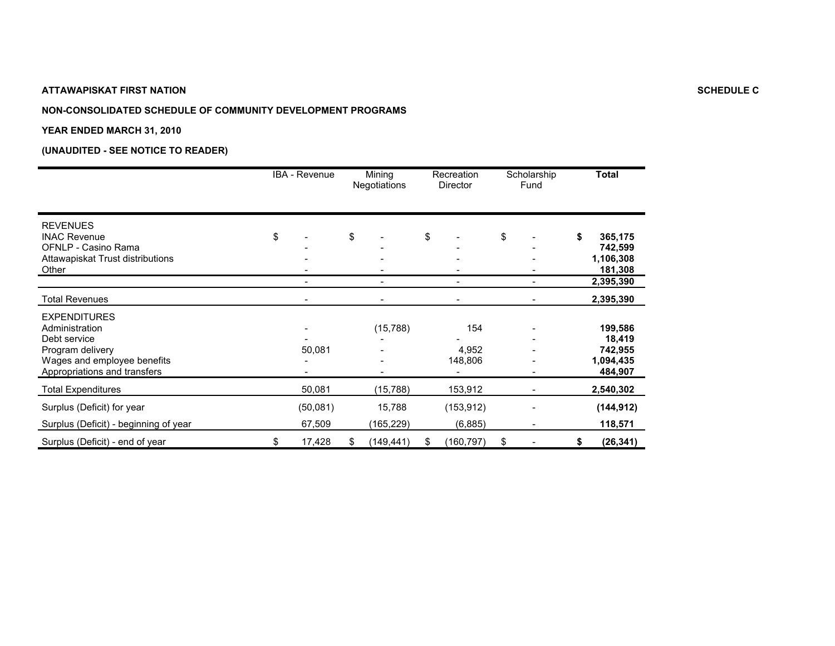## **NON-CONSOLIDATED SCHEDULE OF COMMUNITY DEVELOPMENT PROGRAMS**

#### **YEAR ENDED MARCH 31, 2010**

|                                                                                                                                          | IBA - Revenue      | Mining<br>Negotiations | Recreation<br><b>Director</b> | Scholarship<br>Fund | <b>Total</b>                                         |
|------------------------------------------------------------------------------------------------------------------------------------------|--------------------|------------------------|-------------------------------|---------------------|------------------------------------------------------|
| <b>REVENUES</b><br><b>INAC Revenue</b><br>OFNLP - Casino Rama<br>Attawapiskat Trust distributions<br>Other                               | \$                 | \$                     | \$                            | \$                  | \$<br>365,175<br>742,599<br>1,106,308<br>181,308     |
|                                                                                                                                          |                    |                        |                               |                     | 2,395,390                                            |
| <b>Total Revenues</b>                                                                                                                    |                    |                        |                               |                     | 2,395,390                                            |
| <b>EXPENDITURES</b><br>Administration<br>Debt service<br>Program delivery<br>Wages and employee benefits<br>Appropriations and transfers | 50,081             | (15, 788)              | 154<br>4,952<br>148,806       |                     | 199,586<br>18,419<br>742,955<br>1,094,435<br>484,907 |
| <b>Total Expenditures</b>                                                                                                                | 50,081             | (15,788)               | 153,912                       |                     | 2,540,302                                            |
| Surplus (Deficit) for year<br>Surplus (Deficit) - beginning of year                                                                      | (50,081)<br>67,509 | 15,788<br>(165, 229)   | (153, 912)<br>(6,885)         |                     | (144, 912)<br>118,571                                |
| Surplus (Deficit) - end of year                                                                                                          | \$<br>17,428       | \$<br>(149, 441)       | \$<br>(160, 797)              | \$                  | \$<br>(26, 341)                                      |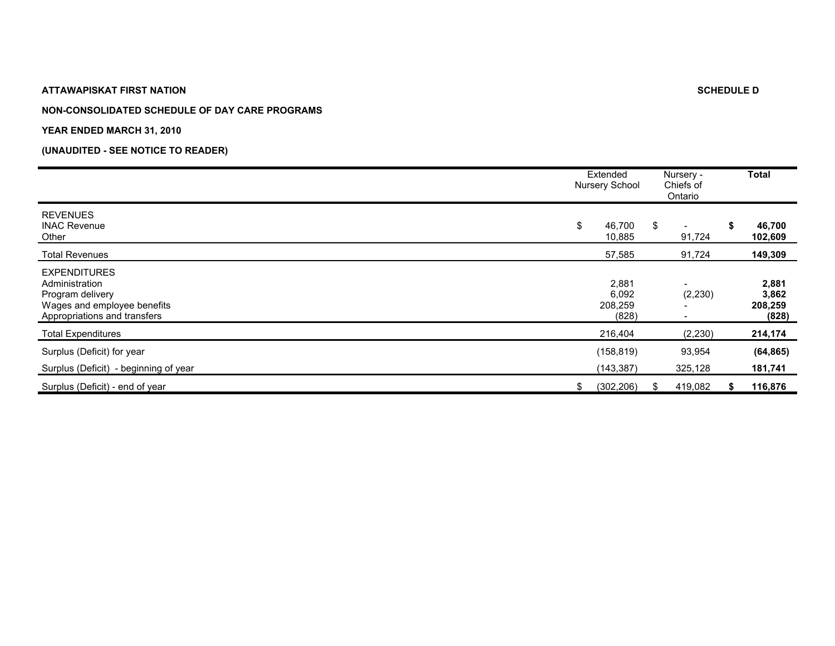#### **NON-CONSOLIDATED SCHEDULE OF DAY CARE PROGRAMS**

#### **YEAR ENDED MARCH 31, 2010**

|                                                                                                                          | Extended<br>Nursery School         | Nursery -<br>Chiefs of<br>Ontario         |   | <b>Total</b>                       |
|--------------------------------------------------------------------------------------------------------------------------|------------------------------------|-------------------------------------------|---|------------------------------------|
| <b>REVENUES</b><br><b>INAC Revenue</b><br>Other                                                                          | \$<br>46,700<br>10,885             | \$<br>$\overline{\phantom{a}}$<br>91,724  | S | 46,700<br>102,609                  |
| <b>Total Revenues</b>                                                                                                    | 57,585                             | 91,724                                    |   | 149,309                            |
| <b>EXPENDITURES</b><br>Administration<br>Program delivery<br>Wages and employee benefits<br>Appropriations and transfers | 2,881<br>6,092<br>208,259<br>(828) | $\overline{\phantom{0}}$<br>(2, 230)<br>- |   | 2,881<br>3,862<br>208,259<br>(828) |
| <b>Total Expenditures</b>                                                                                                | 216,404                            | (2, 230)                                  |   | 214,174                            |
| Surplus (Deficit) for year<br>Surplus (Deficit) - beginning of year                                                      | (158, 819)<br>(143, 387)           | 93,954<br>325,128                         |   | (64, 865)<br>181,741               |
| Surplus (Deficit) - end of year                                                                                          | \$<br>(302, 206)                   | 419,082                                   |   | 116,876                            |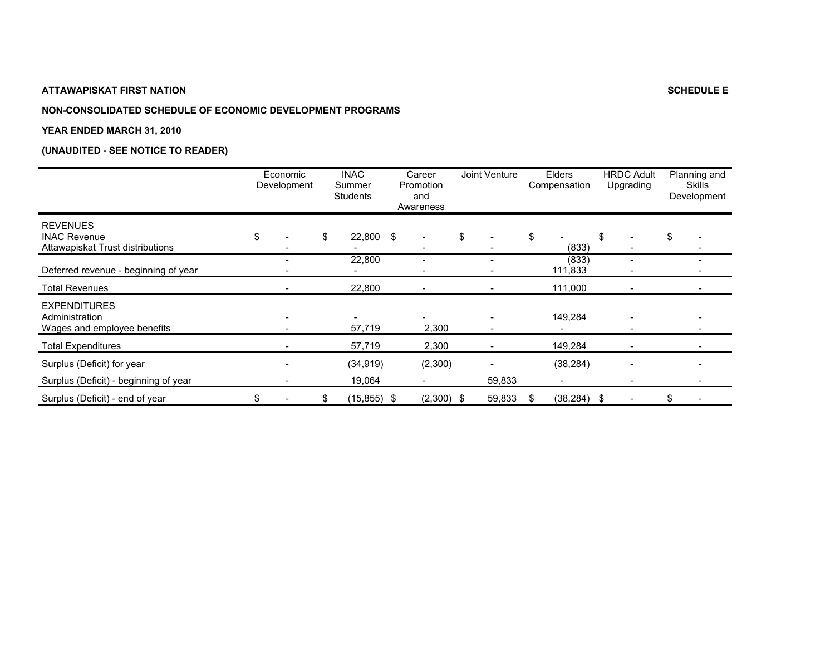## **NON-CONSOLIDATED SCHEDULE OF ECONOMIC DEVELOPMENT PROGRAMS**

#### **YEAR ENDED MARCH 31, 2010**

|                                                                            | Economic<br>Development | <b>INAC</b><br>Summer<br><b>Students</b> | Career<br>Promotion<br>and<br>Awareness | Joint Venture |    | Elders<br>Compensation | <b>HRDC Adult</b><br>Upgrading | Planning and<br><b>Skills</b><br>Development |
|----------------------------------------------------------------------------|-------------------------|------------------------------------------|-----------------------------------------|---------------|----|------------------------|--------------------------------|----------------------------------------------|
| <b>REVENUES</b><br><b>INAC Revenue</b><br>Attawapiskat Trust distributions | \$                      | \$<br>22,800                             | \$<br>-                                 | \$            | \$ | (833)                  | \$                             | \$                                           |
| Deferred revenue - beginning of year                                       |                         | 22,800                                   |                                         |               |    | (833)<br>111,833       |                                |                                              |
| <b>Total Revenues</b>                                                      |                         | 22,800                                   |                                         |               |    | 111,000                |                                |                                              |
| <b>EXPENDITURES</b><br>Administration<br>Wages and employee benefits       |                         | 57,719                                   | 2,300                                   |               |    | 149,284                |                                |                                              |
| <b>Total Expenditures</b>                                                  |                         | 57,719                                   | 2,300                                   |               |    | 149,284                |                                |                                              |
| Surplus (Deficit) for year                                                 |                         | (34, 919)                                | (2,300)                                 |               |    | (38, 284)              |                                |                                              |
| Surplus (Deficit) - beginning of year                                      |                         | 19,064                                   |                                         | 59,833        |    |                        |                                |                                              |
| Surplus (Deficit) - end of year                                            |                         | \$<br>$(15, 855)$ \$                     | $(2,300)$ \$                            | 59,833        | S  | $(38, 284)$ \$         |                                | \$                                           |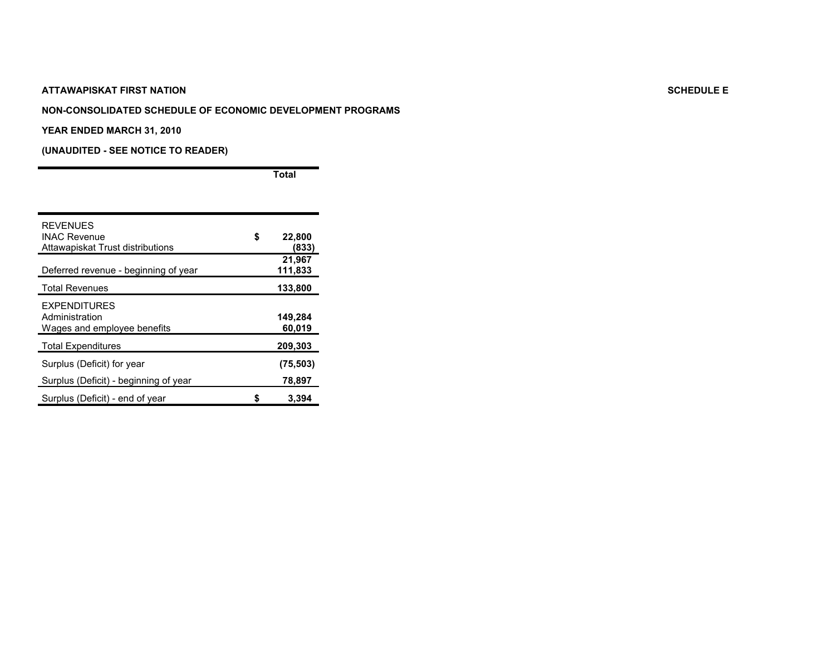#### **NON-CONSOLIDATED SCHEDULE OF ECONOMIC DEVELOPMENT PROGRAMS**

#### **YEAR ENDED MARCH 31, 2010**

**(UNAUDITED - SEE NOTICE TO READER)**

**Total**

| <b>REVENUES</b><br><b>INAC Revenue</b><br>Attawapiskat Trust distributions | \$ | 22,800<br>(833)   |
|----------------------------------------------------------------------------|----|-------------------|
| Deferred revenue - beginning of year                                       |    | 21,967<br>111,833 |
| <b>Total Revenues</b>                                                      |    | 133,800           |
| <b>EXPENDITURES</b><br>Administration<br>Wages and employee benefits       |    | 149,284<br>60,019 |
| <b>Total Expenditures</b>                                                  |    | 209,303           |
| Surplus (Deficit) for year                                                 |    | (75, 503)         |
| Surplus (Deficit) - beginning of year                                      |    | 78,897            |
| Surplus (Deficit) - end of year                                            | S  | 3,394             |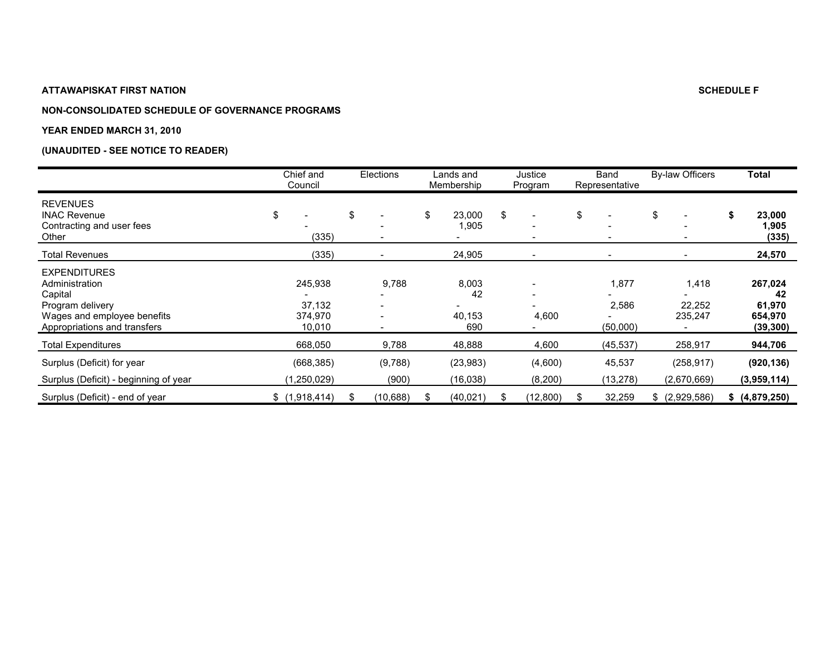## **NON-CONSOLIDATED SCHEDULE OF GOVERNANCE PROGRAMS**

#### **YEAR ENDED MARCH 31, 2010**

|                                                                                                                                     | Chief and<br>Council                   | <b>Elections</b> |                          | Lands and<br>Membership      | Justice<br>Program                                                                     | Band<br>Representative              | <b>By-law Officers</b>         | Total                                           |
|-------------------------------------------------------------------------------------------------------------------------------------|----------------------------------------|------------------|--------------------------|------------------------------|----------------------------------------------------------------------------------------|-------------------------------------|--------------------------------|-------------------------------------------------|
| <b>REVENUES</b><br><b>INAC Revenue</b><br>Contracting and user fees<br>Other                                                        | \$<br>(335)                            | \$               | $\overline{\phantom{a}}$ | \$<br>23,000<br>1,905        | \$<br>$\overline{\phantom{a}}$<br>$\overline{\phantom{a}}$<br>$\overline{\phantom{0}}$ | \$<br>$\overline{\phantom{0}}$<br>- | \$<br>$\overline{\phantom{a}}$ | 23,000<br>1,905<br>(335)                        |
| Total Revenues                                                                                                                      | (335)                                  |                  |                          | 24,905                       | $\overline{\phantom{a}}$                                                               | $\qquad \qquad$                     | $\overline{\phantom{a}}$       | 24,570                                          |
| <b>EXPENDITURES</b><br>Administration<br>Capital<br>Program delivery<br>Wages and employee benefits<br>Appropriations and transfers | 245,938<br>37,132<br>374,970<br>10,010 |                  | 9,788                    | 8,003<br>42<br>40,153<br>690 | $\overline{\phantom{a}}$<br>$\overline{\phantom{a}}$<br>4,600                          | 1,877<br>2,586<br>(50,000)          | 1,418<br>22,252<br>235,247     | 267,024<br>42<br>61,970<br>654,970<br>(39, 300) |
| <b>Total Expenditures</b>                                                                                                           | 668,050                                |                  | 9,788                    | 48,888                       | 4,600                                                                                  | (45, 537)                           | 258,917                        | 944,706                                         |
| Surplus (Deficit) for year<br>Surplus (Deficit) - beginning of year                                                                 | (668, 385)<br>(1,250,029)              |                  | (9,788)<br>(900)         | (23, 983)<br>(16,038)        | (4,600)<br>(8,200)                                                                     | 45,537<br>(13, 278)                 | (258, 917)<br>(2,670,669)      | (920, 136)<br>(3,959,114)                       |
| Surplus (Deficit) - end of year                                                                                                     | \$(1,918,414)                          |                  | (10,688)                 | (40, 021)                    | (12,800)                                                                               | 32,259                              | \$ (2,929,586)                 | \$ (4,879,250)                                  |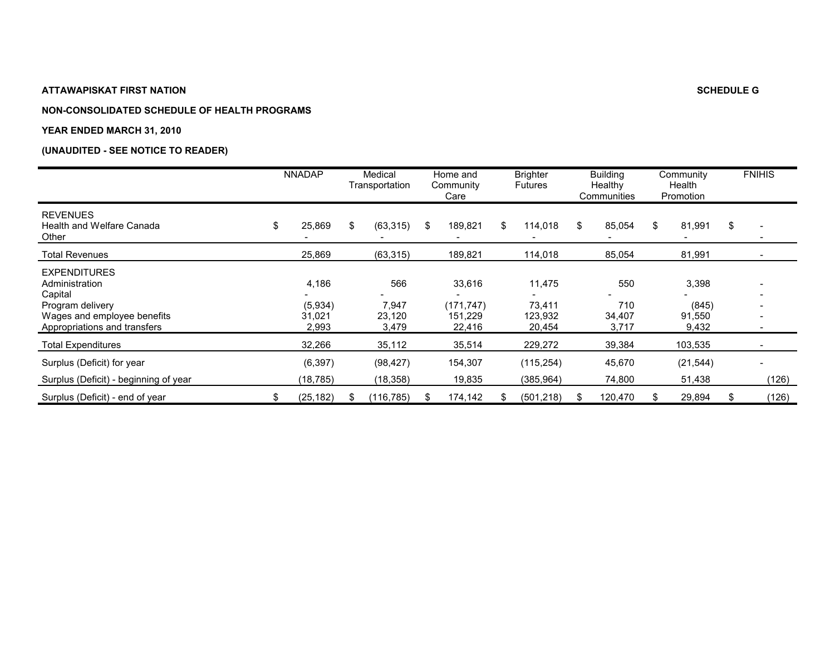#### **NON-CONSOLIDATED SCHEDULE OF HEALTH PROGRAMS**

#### **YEAR ENDED MARCH 31, 2010**

|                                                                                                                                     | <b>NNADAP</b>                       | Medical<br>Transportation       | Home and<br>Community<br>Care             |    | <b>Brighter</b><br><b>Futures</b>     | <b>Building</b><br>Healthy<br>Communities | Community<br>Health<br>Promotion  | <b>FNIHIS</b>                  |
|-------------------------------------------------------------------------------------------------------------------------------------|-------------------------------------|---------------------------------|-------------------------------------------|----|---------------------------------------|-------------------------------------------|-----------------------------------|--------------------------------|
| <b>REVENUES</b><br>Health and Welfare Canada<br>Other                                                                               | \$<br>25,869                        | \$<br>(63, 315)                 | \$<br>189,821                             | S. | 114,018                               | \$<br>85,054                              | \$<br>81,991                      | \$<br>$\overline{\phantom{a}}$ |
| <b>Total Revenues</b>                                                                                                               | 25,869                              | (63, 315)                       | 189,821                                   |    | 114,018                               | 85,054                                    | 81,991                            |                                |
| <b>EXPENDITURES</b><br>Administration<br>Capital<br>Program delivery<br>Wages and employee benefits<br>Appropriations and transfers | 4,186<br>(5,934)<br>31,021<br>2,993 | 566<br>7,947<br>23,120<br>3,479 | 33,616<br>(171, 747)<br>151.229<br>22,416 |    | 11,475<br>73,411<br>123,932<br>20,454 | 550<br>710<br>34,407<br>3,717             | 3,398<br>(845)<br>91,550<br>9,432 | ۰                              |
| <b>Total Expenditures</b>                                                                                                           | 32,266                              | 35,112                          | 35,514                                    |    | 229,272                               | 39,384                                    | 103,535                           |                                |
| Surplus (Deficit) for year<br>Surplus (Deficit) - beginning of year                                                                 | (6, 397)<br>(18,785)                | (98, 427)<br>(18, 358)          | 154,307<br>19,835                         |    | (115, 254)<br>(385,964)               | 45,670<br>74,800                          | (21, 544)<br>51,438               | (126)                          |
| Surplus (Deficit) - end of year                                                                                                     | (25,182)                            | (116,785)                       | 174,142                                   |    | (501, 218)                            | 120,470                                   | 29,894                            | (126)                          |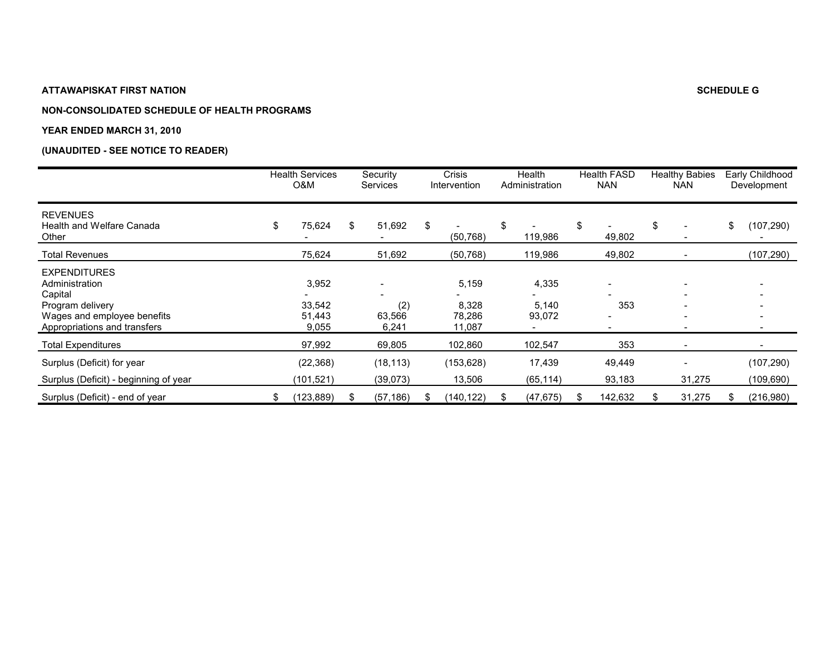#### **NON-CONSOLIDATED SCHEDULE OF HEALTH PROGRAMS**

#### **YEAR ENDED MARCH 31, 2010**

|                                                                                                                                     |    | <b>Health Services</b><br>O&M      | Security<br><b>Services</b> |    | Crisis<br>Intervention             | Health<br>Administration | <b>Health FASD</b><br><b>NAN</b>                            | <b>Healthy Babies</b><br><b>NAN</b> |     | Early Childhood<br>Development |
|-------------------------------------------------------------------------------------------------------------------------------------|----|------------------------------------|-----------------------------|----|------------------------------------|--------------------------|-------------------------------------------------------------|-------------------------------------|-----|--------------------------------|
| <b>REVENUES</b><br><b>Health and Welfare Canada</b><br>Other                                                                        | \$ | 75,624                             | \$<br>51,692                | \$ | (50, 768)                          | \$<br>119,986            | \$<br>49,802                                                | \$                                  | \$  | (107, 290)                     |
| <b>Total Revenues</b>                                                                                                               |    | 75,624                             | 51,692                      |    | (50, 768)                          | 119,986                  | 49,802                                                      |                                     |     | (107, 290)                     |
| <b>EXPENDITURES</b><br>Administration<br>Capital<br>Program delivery<br>Wages and employee benefits<br>Appropriations and transfers |    | 3,952<br>33,542<br>51,443<br>9,055 | (2)<br>63,566<br>6,241      |    | 5,159<br>8,328<br>78,286<br>11,087 | 4,335<br>5,140<br>93,072 | $\overline{\phantom{a}}$<br>353<br>$\overline{\phantom{a}}$ |                                     |     | $\overline{\phantom{0}}$       |
| <b>Total Expenditures</b>                                                                                                           |    | 97,992                             | 69,805                      |    | 102,860                            | 102,547                  | 353                                                         |                                     |     |                                |
| Surplus (Deficit) for year<br>Surplus (Deficit) - beginning of year                                                                 |    | (22, 368)<br>(101,521)             | (18, 113)<br>(39,073)       |    | (153, 628)<br>13,506               | 17,439<br>(65, 114)      | 49,449<br>93,183                                            | 31,275                              |     | (107, 290)<br>(109, 690)       |
| Surplus (Deficit) - end of year                                                                                                     | S  | (123, 889)                         | (57, 186)                   | ж. | 140,122)                           | (47, 675)                | 142,632                                                     | 31,275                              | \$. | (216,980)                      |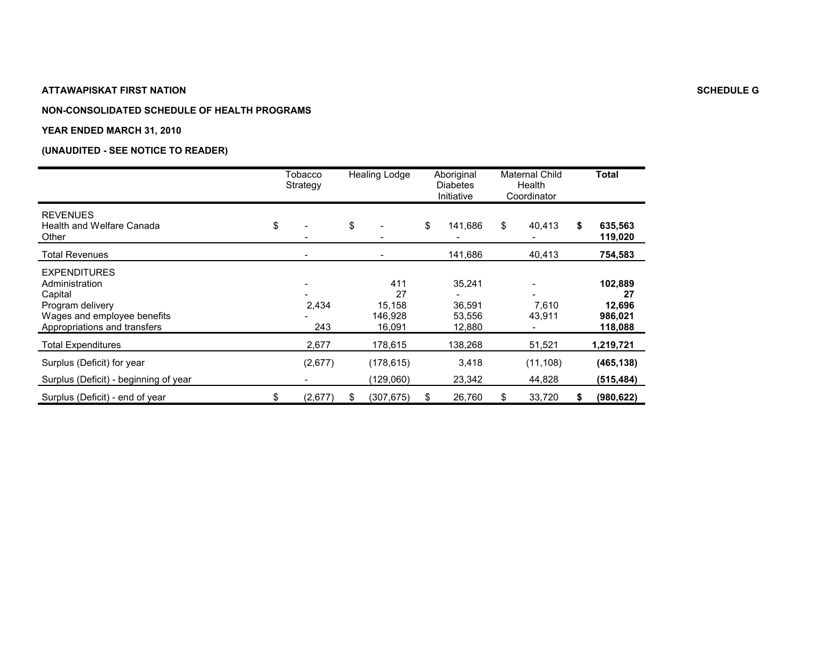#### **NON-CONSOLIDATED SCHEDULE OF HEALTH PROGRAMS**

#### **YEAR ENDED MARCH 31, 2010**

|                                                                                                                                     | Tobacco<br>Strategy | <b>Healing Lodge</b>                     | Aboriginal<br><b>Diabetes</b><br>Initiative | Maternal Child<br>Health<br>Coordinator |                     | Total                                         |
|-------------------------------------------------------------------------------------------------------------------------------------|---------------------|------------------------------------------|---------------------------------------------|-----------------------------------------|---------------------|-----------------------------------------------|
| <b>REVENUES</b><br>Health and Welfare Canada<br>Other                                                                               | \$                  | \$                                       | \$<br>141,686                               | \$                                      | 40,413              | \$<br>635,563<br>119,020                      |
| <b>Total Revenues</b>                                                                                                               |                     |                                          | 141,686                                     |                                         | 40,413              | 754,583                                       |
| <b>EXPENDITURES</b><br>Administration<br>Capital<br>Program delivery<br>Wages and employee benefits<br>Appropriations and transfers | 2,434<br>243        | 411<br>27<br>15,158<br>146,928<br>16,091 | 35,241<br>36,591<br>53,556<br>12,880        |                                         | 7,610<br>43,911     | 102,889<br>27<br>12,696<br>986,021<br>118,088 |
| <b>Total Expenditures</b>                                                                                                           | 2,677               | 178,615                                  | 138,268                                     |                                         | 51,521              | 1,219,721                                     |
| Surplus (Deficit) for year<br>Surplus (Deficit) - beginning of year                                                                 | (2,677)             | (178, 615)<br>(129,060)                  | 3,418<br>23,342                             |                                         | (11, 108)<br>44,828 | (465, 138)<br>(515, 484)                      |
| Surplus (Deficit) - end of year                                                                                                     | \$<br>(2,677)       | \$<br>(307,675)                          | \$<br>26,760                                | S                                       | 33,720              | \$<br>(980, 622)                              |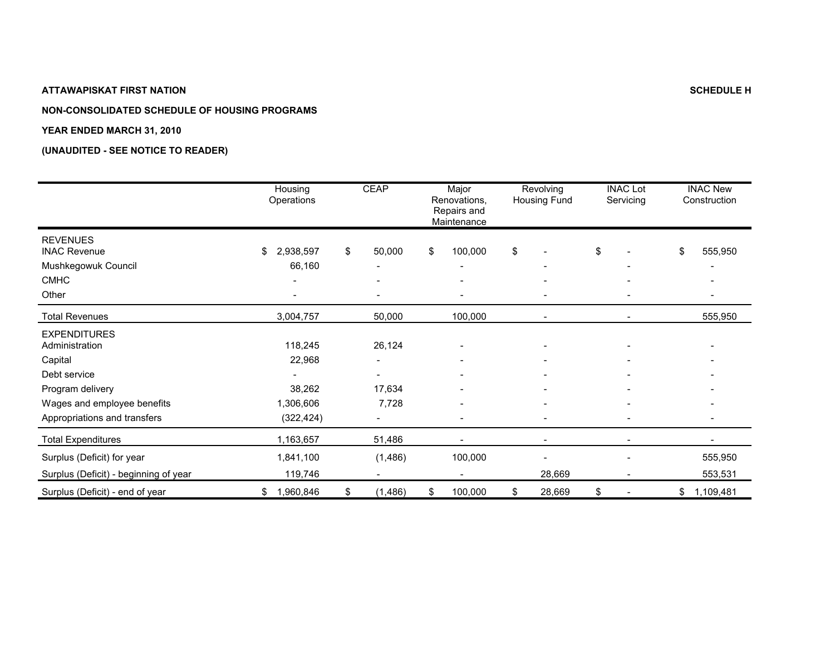## **NON-CONSOLIDATED SCHEDULE OF HOUSING PROGRAMS**

#### **YEAR ENDED MARCH 31, 2010**

|                                                                                                                                                     | Housing<br>Operations                                  | <b>CEAP</b>                    | Major<br>Renovations,<br>Repairs and<br>Maintenance                       | Revolving<br>Housing Fund | <b>INAC Lot</b><br>Servicing |                          | <b>INAC New</b><br>Construction                                       |
|-----------------------------------------------------------------------------------------------------------------------------------------------------|--------------------------------------------------------|--------------------------------|---------------------------------------------------------------------------|---------------------------|------------------------------|--------------------------|-----------------------------------------------------------------------|
| <b>REVENUES</b><br><b>INAC Revenue</b><br>Mushkegowuk Council<br><b>CMHC</b><br>Other                                                               | 2,938,597<br>\$<br>66,160                              | \$<br>50,000<br>$\blacksquare$ | \$<br>100,000<br>$\qquad \qquad \blacksquare$<br>$\overline{\phantom{a}}$ | \$<br>۰                   | \$                           | $\overline{\phantom{a}}$ | \$<br>555,950<br>$\overline{\phantom{a}}$<br>$\overline{\phantom{a}}$ |
| <b>Total Revenues</b>                                                                                                                               | 3,004,757                                              | 50,000                         | 100,000                                                                   |                           |                              |                          | 555,950                                                               |
| <b>EXPENDITURES</b><br>Administration<br>Capital<br>Debt service<br>Program delivery<br>Wages and employee benefits<br>Appropriations and transfers | 118,245<br>22,968<br>38,262<br>1,306,606<br>(322, 424) | 26,124<br>17,634<br>7,728      | $\qquad \qquad$                                                           |                           |                              |                          | $\overline{\phantom{a}}$<br>$\overline{\phantom{a}}$                  |
| <b>Total Expenditures</b>                                                                                                                           | 1,163,657                                              | 51,486                         |                                                                           |                           |                              |                          |                                                                       |
| Surplus (Deficit) for year<br>Surplus (Deficit) - beginning of year                                                                                 | 1,841,100<br>119,746                                   | (1,486)                        | 100,000                                                                   | 28,669                    |                              |                          | 555,950<br>553,531                                                    |
| Surplus (Deficit) - end of year                                                                                                                     | 1,960,846<br>\$                                        | \$<br>(1, 486)                 | \$<br>100,000                                                             | \$<br>28,669              | \$                           |                          | \$<br>1,109,481                                                       |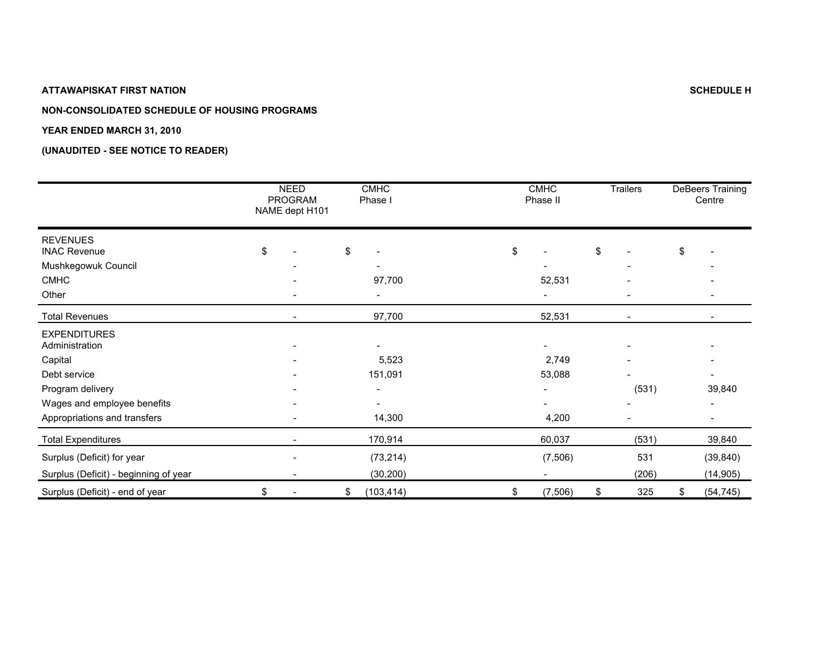## **NON-CONSOLIDATED SCHEDULE OF HOUSING PROGRAMS**

#### **YEAR ENDED MARCH 31, 2010**

|                                        | <b>NEED</b><br><b>PROGRAM</b><br>NAME dept H101 | <b>CMHC</b><br>Phase I |    | <b>CMHC</b><br>Phase II | Trailers  | DeBeers Training<br>Centre |
|----------------------------------------|-------------------------------------------------|------------------------|----|-------------------------|-----------|----------------------------|
| <b>REVENUES</b><br><b>INAC Revenue</b> | \$                                              | \$                     | \$ |                         | \$        | \$                         |
| Mushkegowuk Council                    |                                                 |                        |    |                         |           |                            |
| <b>CMHC</b>                            |                                                 | 97,700                 |    | 52,531                  |           |                            |
| Other                                  |                                                 |                        |    |                         |           |                            |
| <b>Total Revenues</b>                  |                                                 | 97,700                 |    | 52,531                  |           |                            |
| <b>EXPENDITURES</b><br>Administration  |                                                 |                        |    |                         |           |                            |
| Capital                                |                                                 | 5,523                  |    | 2,749                   |           |                            |
| Debt service                           |                                                 | 151,091                |    | 53,088                  |           |                            |
| Program delivery                       |                                                 |                        |    |                         | (531)     | 39,840                     |
| Wages and employee benefits            |                                                 | ۰                      |    |                         |           |                            |
| Appropriations and transfers           |                                                 | 14,300                 |    | 4,200                   |           |                            |
| <b>Total Expenditures</b>              |                                                 | 170,914                |    | 60,037                  | (531)     | 39,840                     |
| Surplus (Deficit) for year             |                                                 | (73, 214)              |    | (7, 506)                | 531       | (39, 840)                  |
| Surplus (Deficit) - beginning of year  |                                                 | (30, 200)              |    |                         | (206)     | (14, 905)                  |
| Surplus (Deficit) - end of year        | \$                                              | \$<br>(103, 414)       | \$ | (7, 506)                | \$<br>325 | \$<br>(54, 745)            |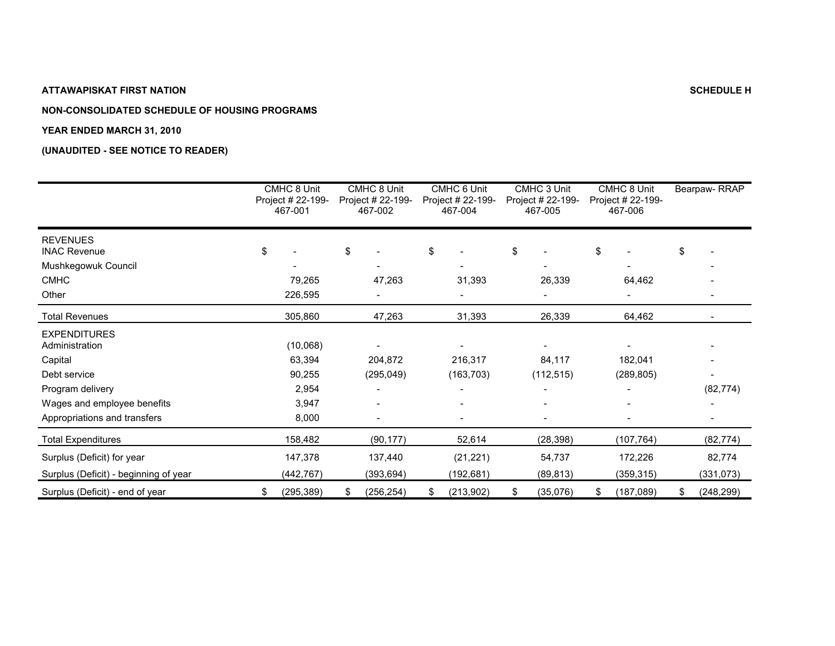## **NON-CONSOLIDATED SCHEDULE OF HOUSING PROGRAMS**

#### **YEAR ENDED MARCH 31, 2010**

|                                        | CMHC 8 Unit<br>Project # 22-199-<br>467-001 | CMHC 8 Unit<br>Project # 22-199-<br>467-002 |     | CMHC 6 Unit<br>Project # 22-199-<br>467-004 | CMHC 3 Unit<br>Project # 22-199-<br>467-005 |            | CMHC 8 Unit<br>Project # 22-199-<br>467-006 | Bearpaw-RRAP     |
|----------------------------------------|---------------------------------------------|---------------------------------------------|-----|---------------------------------------------|---------------------------------------------|------------|---------------------------------------------|------------------|
| <b>REVENUES</b><br><b>INAC Revenue</b> | \$                                          | \$                                          | \$  |                                             | \$                                          |            | \$                                          | \$               |
| Mushkegowuk Council                    |                                             |                                             |     |                                             |                                             |            |                                             |                  |
| <b>CMHC</b>                            | 79,265                                      | 47,263                                      |     | 31,393                                      |                                             | 26,339     | 64,462                                      |                  |
| Other                                  | 226,595                                     |                                             |     |                                             |                                             |            |                                             |                  |
| <b>Total Revenues</b>                  | 305,860                                     | 47,263                                      |     | 31,393                                      |                                             | 26,339     | 64,462                                      |                  |
| <b>EXPENDITURES</b><br>Administration  | (10,068)                                    |                                             |     |                                             |                                             |            |                                             |                  |
| Capital                                | 63,394                                      | 204,872                                     |     | 216,317                                     |                                             | 84,117     | 182,041                                     |                  |
| Debt service                           | 90,255                                      | (295, 049)                                  |     | (163, 703)                                  |                                             | (112, 515) | (289, 805)                                  |                  |
| Program delivery                       | 2,954                                       |                                             |     |                                             |                                             |            |                                             | (82, 774)        |
| Wages and employee benefits            | 3,947                                       |                                             |     |                                             |                                             |            |                                             |                  |
| Appropriations and transfers           | 8,000                                       |                                             |     | $\qquad \qquad \blacksquare$                |                                             |            |                                             |                  |
| <b>Total Expenditures</b>              | 158,482                                     | (90, 177)                                   |     | 52,614                                      |                                             | (28, 398)  | (107, 764)                                  | (82, 774)        |
| Surplus (Deficit) for year             | 147,378                                     | 137,440                                     |     | (21, 221)                                   |                                             | 54,737     | 172,226                                     | 82,774           |
| Surplus (Deficit) - beginning of year  | (442, 767)                                  | (393, 694)                                  |     | (192, 681)                                  |                                             | (89, 813)  | (359, 315)                                  | (331, 073)       |
| Surplus (Deficit) - end of year        | \$<br>(295, 389)                            | \$<br>(256, 254)                            | \$. | (213,902)                                   | \$                                          | (35,076)   | \$<br>(187,089)                             | \$<br>(248, 299) |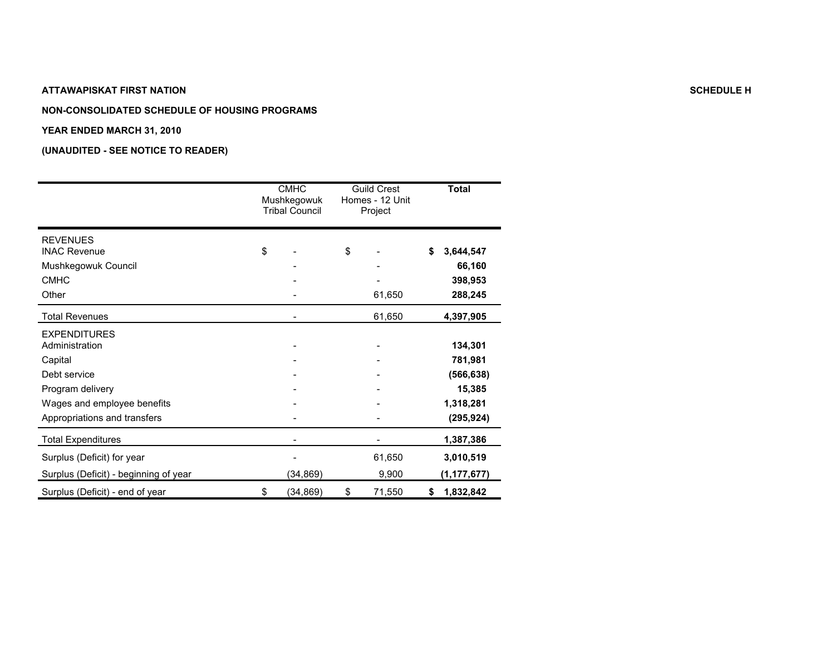#### **NON-CONSOLIDATED SCHEDULE OF HOUSING PROGRAMS**

#### **YEAR ENDED MARCH 31, 2010**

|                                                                                      | <b>CMHC</b><br>Mushkegowuk<br><b>Tribal Council</b> | <b>Guild Crest</b><br>Homes - 12 Unit<br>Project | <b>Total</b>                               |
|--------------------------------------------------------------------------------------|-----------------------------------------------------|--------------------------------------------------|--------------------------------------------|
| <b>REVENUES</b><br><b>INAC Revenue</b>                                               | \$                                                  | \$                                               | \$<br>3,644,547                            |
| Mushkegowuk Council<br><b>CMHC</b><br>Other                                          |                                                     | 61,650                                           | 66,160<br>398,953<br>288,245               |
| <b>Total Revenues</b>                                                                |                                                     | 61,650                                           | 4,397,905                                  |
| <b>EXPENDITURES</b><br>Administration<br>Capital<br>Debt service<br>Program delivery |                                                     |                                                  | 134,301<br>781,981<br>(566, 638)<br>15,385 |
| Wages and employee benefits<br>Appropriations and transfers                          |                                                     |                                                  | 1,318,281<br>(295, 924)                    |
| <b>Total Expenditures</b>                                                            |                                                     |                                                  | 1,387,386                                  |
| Surplus (Deficit) for year<br>Surplus (Deficit) - beginning of year                  | (34, 869)                                           | 61,650<br>9,900                                  | 3,010,519<br>(1, 177, 677)                 |
| Surplus (Deficit) - end of year                                                      | \$<br>(34, 869)                                     | \$<br>71,550                                     | \$<br>1,832,842                            |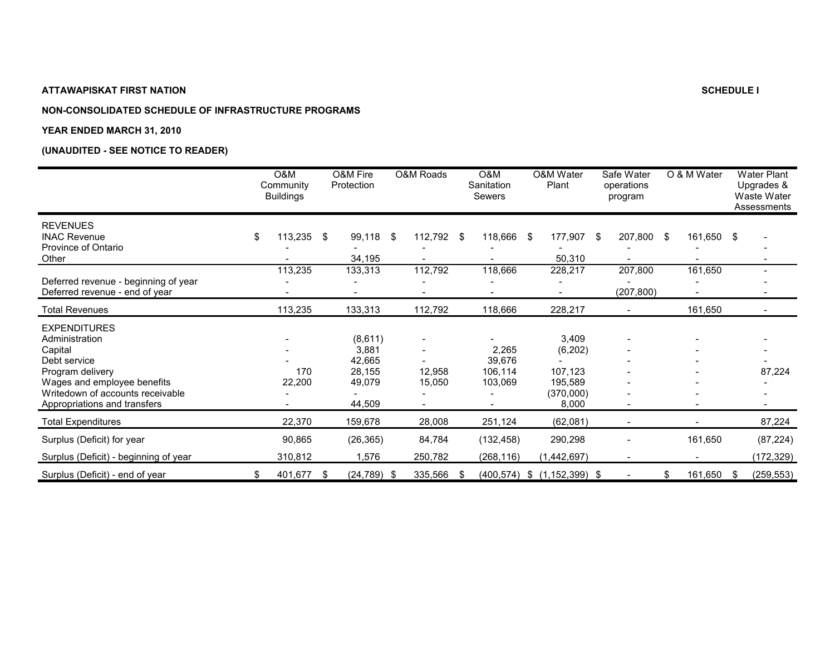## **NON-CONSOLIDATED SCHEDULE OF INFRASTRUCTURE PROGRAMS**

#### **YEAR ENDED MARCH 31, 2010**

|                                                                                                                                                                                         | O&M<br>Community<br><b>Buildings</b> |      | O&M Fire<br>Protection                                   |      | O&M Roads         |      | O&M<br>Sanitation<br>Sewers           | O&M Water<br>Plant                                            | Safe Water<br>operations<br>program | O & M Water   |     | <b>Water Plant</b><br>Upgrades &<br>Waste Water<br>Assessments |
|-----------------------------------------------------------------------------------------------------------------------------------------------------------------------------------------|--------------------------------------|------|----------------------------------------------------------|------|-------------------|------|---------------------------------------|---------------------------------------------------------------|-------------------------------------|---------------|-----|----------------------------------------------------------------|
| <b>REVENUES</b><br><b>INAC Revenue</b><br>Province of Ontario<br>Other                                                                                                                  | \$<br>113,235                        | - \$ | 99,118<br>34,195                                         | - \$ | 112,792           | - \$ | 118,666 \$                            | 177,907<br>50,310                                             | \$<br>207,800 \$                    | 161,650 \$    |     |                                                                |
| Deferred revenue - beginning of year<br>Deferred revenue - end of year                                                                                                                  | 113,235                              |      | 133,313                                                  |      | 112,792           |      | 118,666                               | 228,217                                                       | 207,800<br>(207, 800)               | 161,650       |     |                                                                |
| <b>Total Revenues</b>                                                                                                                                                                   | 113,235                              |      | 133,313                                                  |      | 112,792           |      | 118,666                               | 228,217                                                       |                                     | 161,650       |     |                                                                |
| <b>EXPENDITURES</b><br>Administration<br>Capital<br>Debt service<br>Program delivery<br>Wages and employee benefits<br>Writedown of accounts receivable<br>Appropriations and transfers | 170<br>22,200                        |      | (8,611)<br>3,881<br>42,665<br>28,155<br>49,079<br>44,509 |      | 12,958<br>15,050  |      | 2,265<br>39,676<br>106,114<br>103,069 | 3,409<br>(6, 202)<br>107,123<br>195,589<br>(370,000)<br>8,000 | $\overline{a}$                      |               |     | 87,224                                                         |
| <b>Total Expenditures</b>                                                                                                                                                               | 22,370                               |      | 159,678                                                  |      | 28,008            |      | 251,124                               | (62,081)                                                      | $\overline{a}$                      |               |     | 87,224                                                         |
| Surplus (Deficit) for year<br>Surplus (Deficit) - beginning of year                                                                                                                     | 90,865<br>310,812                    |      | (26, 365)<br>1,576                                       |      | 84,784<br>250,782 |      | (132, 458)<br>(268, 116)              | 290,298<br>(1,442,697)                                        |                                     | 161,650       |     | (87, 224)<br>(172, 329)                                        |
| Surplus (Deficit) - end of year                                                                                                                                                         | \$<br>401,677                        | -\$  | $(24, 789)$ \$                                           |      | 335,566           | -\$  |                                       | $(400, 574)$ \$ $(1, 152, 399)$ \$                            | $\overline{\phantom{a}}$            | \$<br>161,650 | -\$ | (259, 553)                                                     |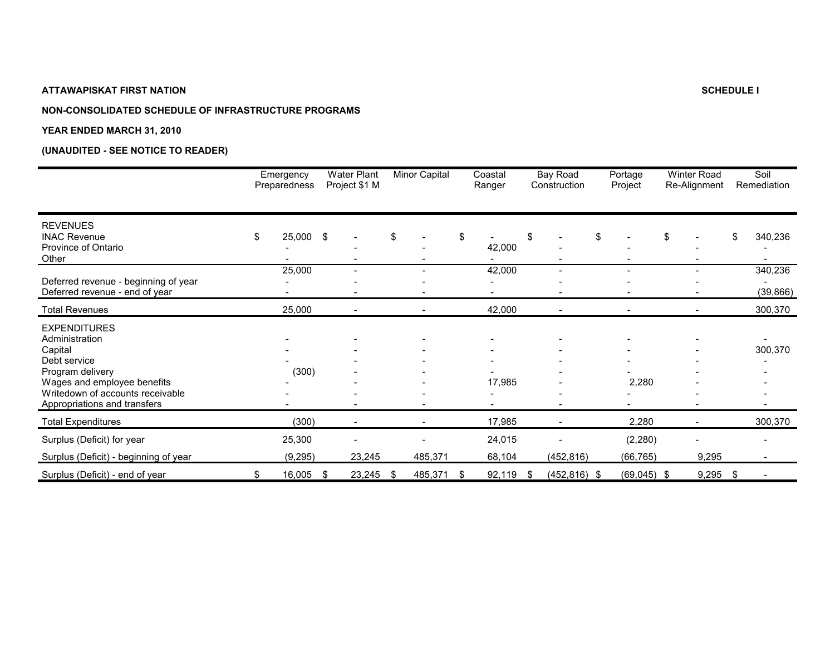## **NON-CONSOLIDATED SCHEDULE OF INFRASTRUCTURE PROGRAMS**

#### **YEAR ENDED MARCH 31, 2010**

|                                                                                                                                                                                         | Emergency<br>Preparedness |     | <b>Water Plant</b><br>Project \$1 M | Minor Capital            | Coastal<br>Ranger |    | Bay Road<br>Construction | Portage<br>Project       | <b>Winter Road</b><br>Re-Alignment | Soil<br>Remediation  |
|-----------------------------------------------------------------------------------------------------------------------------------------------------------------------------------------|---------------------------|-----|-------------------------------------|--------------------------|-------------------|----|--------------------------|--------------------------|------------------------------------|----------------------|
| <b>REVENUES</b><br><b>INAC Revenue</b><br>Province of Ontario<br>Other                                                                                                                  | \$<br>25,000 \$           |     |                                     | \$                       | \$<br>42,000      | \$ |                          | \$                       | \$                                 | \$<br>340,236        |
| Deferred revenue - beginning of year<br>Deferred revenue - end of year                                                                                                                  | 25,000                    |     |                                     |                          | 42,000            |    |                          | $\overline{\phantom{0}}$ |                                    | 340,236<br>(39, 866) |
| <b>Total Revenues</b>                                                                                                                                                                   | 25,000                    |     | $\overline{\phantom{a}}$            | $\overline{\phantom{a}}$ | 42,000            |    | $\overline{\phantom{a}}$ | ۰                        |                                    | 300,370              |
| <b>EXPENDITURES</b><br>Administration<br>Capital<br>Debt service<br>Program delivery<br>Wages and employee benefits<br>Writedown of accounts receivable<br>Appropriations and transfers | (300)                     |     |                                     |                          | 17,985            |    |                          | 2,280                    |                                    | 300,370              |
| <b>Total Expenditures</b>                                                                                                                                                               | (300)                     |     |                                     |                          | 17,985            |    |                          | 2,280                    |                                    | 300,370              |
| Surplus (Deficit) for year<br>Surplus (Deficit) - beginning of year                                                                                                                     | 25,300<br>(9, 295)        |     | 23,245                              | 485,371                  | 24,015<br>68,104  |    | (452, 816)               | (2, 280)<br>(66, 765)    | 9,295                              |                      |
| Surplus (Deficit) - end of year                                                                                                                                                         | \$<br>16,005              | -\$ | 23,245                              | \$<br>485,371            | \$<br>92,119      | S  | $(452, 816)$ \$          | $(69,045)$ \$            | 9,295                              | \$                   |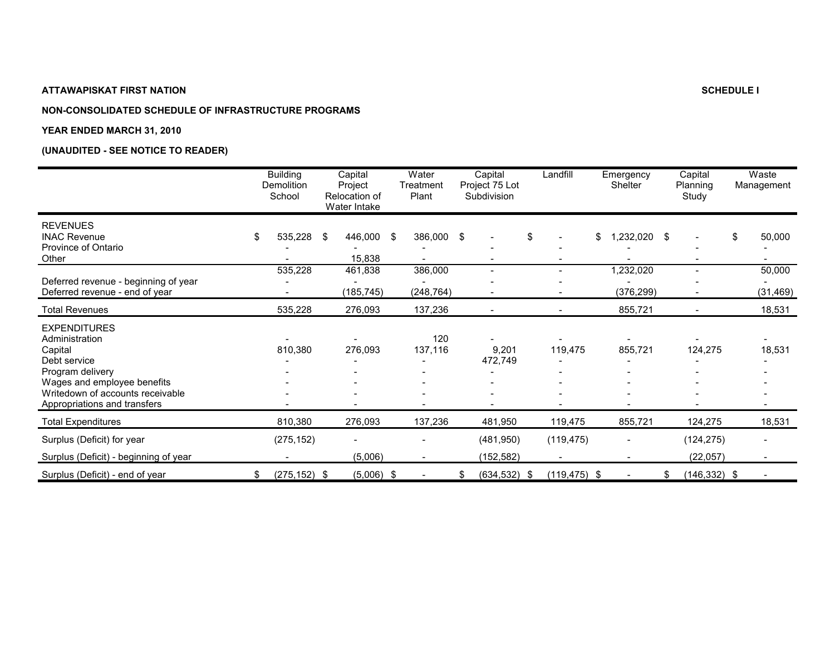## **NON-CONSOLIDATED SCHEDULE OF INFRASTRUCTURE PROGRAMS**

#### **YEAR ENDED MARCH 31, 2010**

|                                                                                                                                                                                         | <b>Building</b><br><b>Demolition</b><br>School | Capital<br>Project<br>Relocation of<br>Water Intake | Water<br>Treatment<br>Plant |                | Capital<br>Project 75 Lot<br>Subdivision | Landfill                       | Emergency<br>Shelter     | Capital<br>Planning<br>Study | Waste<br>Management |
|-----------------------------------------------------------------------------------------------------------------------------------------------------------------------------------------|------------------------------------------------|-----------------------------------------------------|-----------------------------|----------------|------------------------------------------|--------------------------------|--------------------------|------------------------------|---------------------|
| <b>REVENUES</b><br><b>INAC Revenue</b><br>Province of Ontario<br>Other                                                                                                                  | \$<br>535,228                                  | \$<br>446,000<br>15,838                             | \$                          | 386,000 \$     |                                          | \$<br>$\overline{\phantom{a}}$ | \$<br>1,232,020          | \$                           | \$<br>50,000        |
|                                                                                                                                                                                         | 535,228                                        | 461,838                                             |                             | 386,000        | $\equiv$                                 | $\overline{\phantom{a}}$       | ,232,020                 |                              | 50,000              |
| Deferred revenue - beginning of year<br>Deferred revenue - end of year                                                                                                                  |                                                | (185, 745)                                          |                             | (248, 764)     |                                          |                                | (376, 299)               |                              | (31, 469)           |
| <b>Total Revenues</b>                                                                                                                                                                   | 535,228                                        | 276,093                                             |                             | 137,236        | $\overline{\phantom{a}}$                 |                                | 855,721                  |                              | 18,531              |
| <b>EXPENDITURES</b><br>Administration<br>Capital<br>Debt service<br>Program delivery<br>Wages and employee benefits<br>Writedown of accounts receivable<br>Appropriations and transfers | 810,380                                        | 276,093                                             |                             | 120<br>137,116 | 9,201<br>472,749                         | 119,475                        | 855,721                  | 124,275                      | 18,531              |
| <b>Total Expenditures</b>                                                                                                                                                               | 810,380                                        | 276,093                                             |                             | 137,236        | 481,950                                  | 119,475                        | 855,721                  | 124,275                      | 18,531              |
| Surplus (Deficit) for year                                                                                                                                                              | (275, 152)                                     |                                                     |                             |                | (481, 950)                               | (119, 475)                     |                          | (124, 275)                   |                     |
| Surplus (Deficit) - beginning of year                                                                                                                                                   |                                                | (5,006)                                             |                             |                | (152, 582)                               |                                | $\overline{a}$           | (22, 057)                    |                     |
| Surplus (Deficit) - end of year                                                                                                                                                         | \$<br>$(275, 152)$ \$                          | $(5,006)$ \$                                        |                             |                | \$<br>$(634, 532)$ \$                    | $(119, 475)$ \$                | $\overline{\phantom{0}}$ | \$<br>$(146, 332)$ \$        |                     |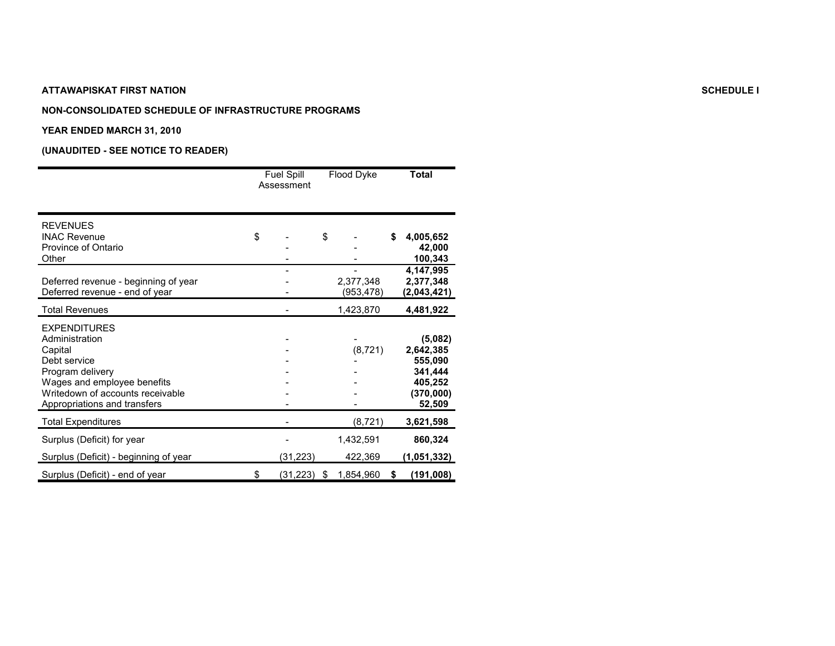#### **NON-CONSOLIDATED SCHEDULE OF INFRASTRUCTURE PROGRAMS**

#### **YEAR ENDED MARCH 31, 2010**

|                                                                                                                                                                                         | <b>Fuel Spill</b><br>Assessment | Flood Dyke             | <b>Total</b>                                                                 |
|-----------------------------------------------------------------------------------------------------------------------------------------------------------------------------------------|---------------------------------|------------------------|------------------------------------------------------------------------------|
| <b>REVENUES</b><br><b>INAC Revenue</b><br>Province of Ontario<br>Other                                                                                                                  | \$                              | \$                     | \$<br>4,005,652<br>42,000<br>100,343                                         |
| Deferred revenue - beginning of year<br>Deferred revenue - end of year                                                                                                                  |                                 | 2,377,348<br>(953,478) | 4,147,995<br>2,377,348<br>(2,043,421)                                        |
| <b>Total Revenues</b>                                                                                                                                                                   |                                 | 1,423,870              | 4,481,922                                                                    |
| <b>EXPENDITURES</b><br>Administration<br>Capital<br>Debt service<br>Program delivery<br>Wages and employee benefits<br>Writedown of accounts receivable<br>Appropriations and transfers |                                 | (8, 721)               | (5,082)<br>2,642,385<br>555,090<br>341,444<br>405,252<br>(370,000)<br>52,509 |
| <b>Total Expenditures</b>                                                                                                                                                               |                                 | (8, 721)               | 3,621,598                                                                    |
| Surplus (Deficit) for year<br>Surplus (Deficit) - beginning of year                                                                                                                     | (31, 223)                       | 1,432,591<br>422,369   | 860,324<br>(1,051,332)                                                       |
| Surplus (Deficit) - end of year                                                                                                                                                         | \$<br>(31, 223)                 | \$<br>1,854,960        | \$<br>(191,008)                                                              |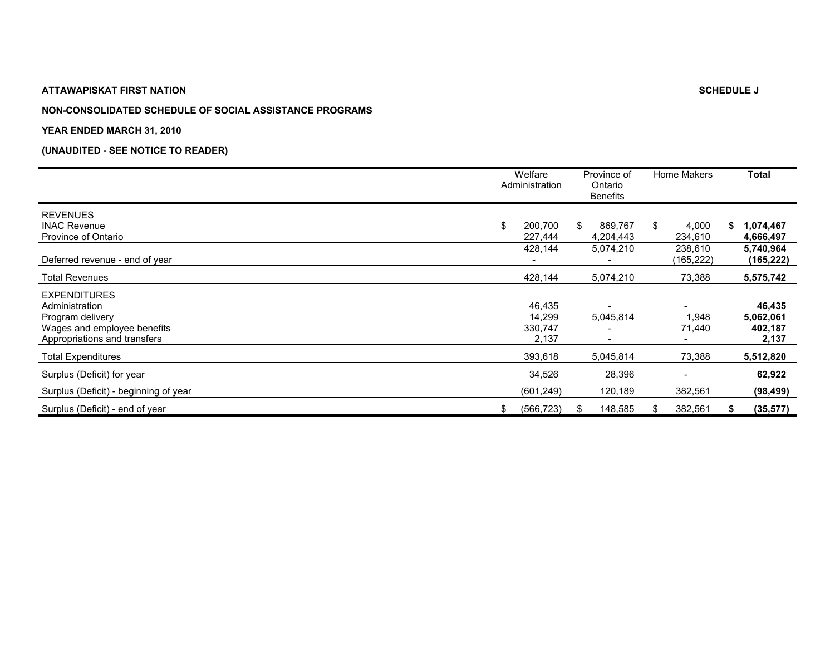## **NON-CONSOLIDATED SCHEDULE OF SOCIAL ASSISTANCE PROGRAMS**

#### **YEAR ENDED MARCH 31, 2010**

|                                                                                                                          | Welfare<br>Administration            | Province of<br>Ontario<br><b>Benefits</b> |    | Home Makers          |    | <b>Total</b>                            |
|--------------------------------------------------------------------------------------------------------------------------|--------------------------------------|-------------------------------------------|----|----------------------|----|-----------------------------------------|
| <b>REVENUES</b><br><b>INAC Revenue</b><br>Province of Ontario                                                            | \$<br>200,700<br>227,444             | \$<br>869,767<br>4,204,443                | S. | 4,000<br>234,610     | S. | 1,074,467<br>4,666,497                  |
| Deferred revenue - end of year                                                                                           | 428,144                              | 5,074,210                                 |    | 238,610<br>(165,222) |    | 5,740,964<br>(165, 222)                 |
| <b>Total Revenues</b>                                                                                                    | 428,144                              | 5,074,210                                 |    | 73,388               |    | 5,575,742                               |
| <b>EXPENDITURES</b><br>Administration<br>Program delivery<br>Wages and employee benefits<br>Appropriations and transfers | 46,435<br>14,299<br>330,747<br>2,137 | 5,045,814<br>$\overline{\phantom{a}}$     |    | 1,948<br>71,440      |    | 46,435<br>5,062,061<br>402,187<br>2,137 |
| <b>Total Expenditures</b>                                                                                                | 393,618                              | 5,045,814                                 |    | 73,388               |    | 5,512,820                               |
| Surplus (Deficit) for year<br>Surplus (Deficit) - beginning of year                                                      | 34,526<br>(601, 249)                 | 28,396<br>120,189                         |    | 382,561              |    | 62,922<br>(98, 499)                     |
| Surplus (Deficit) - end of year                                                                                          | \$<br>(566, 723)                     | \$<br>148,585                             |    | 382,561              | S  | (35, 577)                               |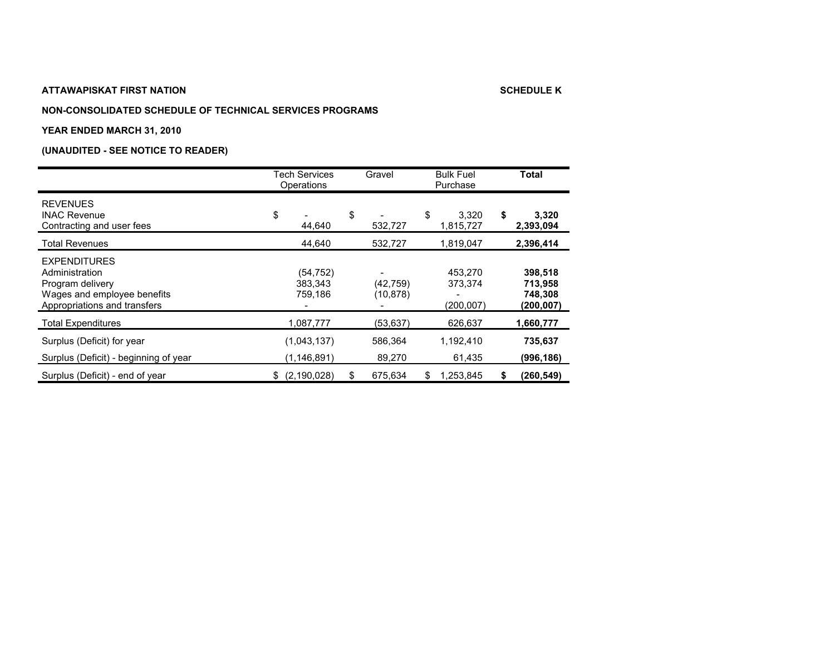#### **NON-CONSOLIDATED SCHEDULE OF TECHNICAL SERVICES PROGRAMS**

#### **YEAR ENDED MARCH 31, 2010**

|                                                                                                                          | Tech Services<br>Operations     | Gravel                | <b>Bulk Fuel</b><br>Purchase     | <b>Total</b>                               |
|--------------------------------------------------------------------------------------------------------------------------|---------------------------------|-----------------------|----------------------------------|--------------------------------------------|
| <b>REVENUES</b><br><b>INAC Revenue</b><br>Contracting and user fees                                                      | \$<br>44,640                    | \$<br>532,727         | \$<br>3,320<br>1,815,727         | \$<br>3,320<br>2,393,094                   |
| <b>Total Revenues</b>                                                                                                    | 44,640                          | 532,727               | 1,819,047                        | 2,396,414                                  |
| <b>EXPENDITURES</b><br>Administration<br>Program delivery<br>Wages and employee benefits<br>Appropriations and transfers | (54, 752)<br>383,343<br>759,186 | (42,759)<br>(10, 878) | 453.270<br>373,374<br>(200, 007) | 398,518<br>713,958<br>748,308<br>(200,007) |
| <b>Total Expenditures</b>                                                                                                | 1,087,777                       | (53, 637)             | 626,637                          | 1,660,777                                  |
| Surplus (Deficit) for year<br>Surplus (Deficit) - beginning of year                                                      | (1,043,137)<br>(1, 146, 891)    | 586,364<br>89,270     | 1,192,410<br>61,435              | 735,637<br>(996, 186)                      |
| Surplus (Deficit) - end of year                                                                                          | \$ (2,190,028)                  | \$<br>675,634         | 1,253,845<br>\$                  | (260, 549)<br>S                            |